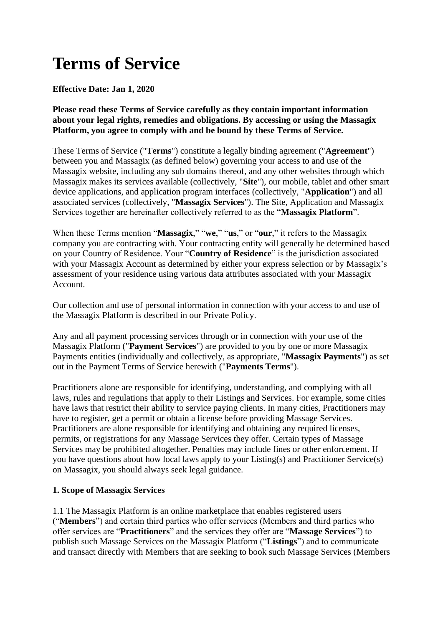# **Terms of Service**

# **Effective Date: Jan 1, 2020**

**Please read these Terms of Service carefully as they contain important information about your legal rights, remedies and obligations. By accessing or using the Massagix Platform, you agree to comply with and be bound by these Terms of Service.**

These Terms of Service ("**Terms**") constitute a legally binding agreement ("**Agreement**") between you and Massagix (as defined below) governing your access to and use of the Massagix website, including any sub domains thereof, and any other websites through which Massagix makes its services available (collectively, "**Site**"), our mobile, tablet and other smart device applications, and application program interfaces (collectively, "**Application**") and all associated services (collectively, "**Massagix Services**"). The Site, Application and Massagix Services together are hereinafter collectively referred to as the "**Massagix Platform**".

When these Terms mention "**Massagix**," "**we**," "**us**," or "**our**," it refers to the Massagix company you are contracting with. Your contracting entity will generally be determined based on your Country of Residence. Your "**Country of Residence**" is the jurisdiction associated with your Massagix Account as determined by either your express selection or by Massagix's assessment of your residence using various data attributes associated with your Massagix Account.

Our collection and use of personal information in connection with your access to and use of the Massagix Platform is described in our Private Policy.

Any and all payment processing services through or in connection with your use of the Massagix Platform ("**Payment Services**") are provided to you by one or more Massagix Payments entities (individually and collectively, as appropriate, "**Massagix Payments**") as set out in the Payment Terms of Service herewith ("**Payments Terms**").

Practitioners alone are responsible for identifying, understanding, and complying with all laws, rules and regulations that apply to their Listings and Services. For example, some cities have laws that restrict their ability to service paying clients. In many cities, Practitioners may have to register, get a permit or obtain a license before providing Massage Services. Practitioners are alone responsible for identifying and obtaining any required licenses, permits, or registrations for any Massage Services they offer. Certain types of Massage Services may be prohibited altogether. Penalties may include fines or other enforcement. If you have questions about how local laws apply to your Listing(s) and Practitioner Service(s) on Massagix, you should always seek legal guidance.

# **1. Scope of Massagix Services**

1.1 The Massagix Platform is an online marketplace that enables registered users ("**Members**") and certain third parties who offer services (Members and third parties who offer services are "**Practitioners**" and the services they offer are "**Massage Services**") to publish such Massage Services on the Massagix Platform ("**Listings**") and to communicate and transact directly with Members that are seeking to book such Massage Services (Members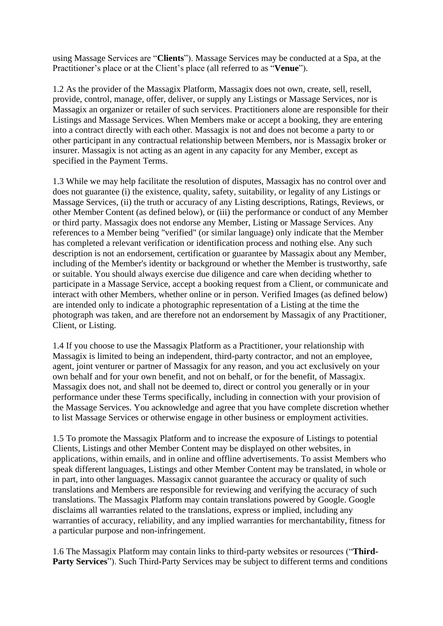using Massage Services are "**Clients**"). Massage Services may be conducted at a Spa, at the Practitioner's place or at the Client's place (all referred to as "**Venue**").

1.2 As the provider of the Massagix Platform, Massagix does not own, create, sell, resell, provide, control, manage, offer, deliver, or supply any Listings or Massage Services, nor is Massagix an organizer or retailer of such services. Practitioners alone are responsible for their Listings and Massage Services. When Members make or accept a booking, they are entering into a contract directly with each other. Massagix is not and does not become a party to or other participant in any contractual relationship between Members, nor is Massagix broker or insurer. Massagix is not acting as an agent in any capacity for any Member, except as specified in the Payment Terms.

1.3 While we may help facilitate the resolution of disputes, Massagix has no control over and does not guarantee (i) the existence, quality, safety, suitability, or legality of any Listings or Massage Services, (ii) the truth or accuracy of any Listing descriptions, Ratings, Reviews, or other Member Content (as defined below), or (iii) the performance or conduct of any Member or third party. Massagix does not endorse any Member, Listing or Massage Services. Any references to a Member being "verified" (or similar language) only indicate that the Member has completed a relevant verification or identification process and nothing else. Any such description is not an endorsement, certification or guarantee by Massagix about any Member, including of the Member's identity or background or whether the Member is trustworthy, safe or suitable. You should always exercise due diligence and care when deciding whether to participate in a Massage Service, accept a booking request from a Client, or communicate and interact with other Members, whether online or in person. Verified Images (as defined below) are intended only to indicate a photographic representation of a Listing at the time the photograph was taken, and are therefore not an endorsement by Massagix of any Practitioner, Client, or Listing.

1.4 If you choose to use the Massagix Platform as a Practitioner, your relationship with Massagix is limited to being an independent, third-party contractor, and not an employee, agent, joint venturer or partner of Massagix for any reason, and you act exclusively on your own behalf and for your own benefit, and not on behalf, or for the benefit, of Massagix. Massagix does not, and shall not be deemed to, direct or control you generally or in your performance under these Terms specifically, including in connection with your provision of the Massage Services. You acknowledge and agree that you have complete discretion whether to list Massage Services or otherwise engage in other business or employment activities.

1.5 To promote the Massagix Platform and to increase the exposure of Listings to potential Clients, Listings and other Member Content may be displayed on other websites, in applications, within emails, and in online and offline advertisements. To assist Members who speak different languages, Listings and other Member Content may be translated, in whole or in part, into other languages. Massagix cannot guarantee the accuracy or quality of such translations and Members are responsible for reviewing and verifying the accuracy of such translations. The Massagix Platform may contain translations powered by Google. Google disclaims all warranties related to the translations, express or implied, including any warranties of accuracy, reliability, and any implied warranties for merchantability, fitness for a particular purpose and non-infringement.

1.6 The Massagix Platform may contain links to third-party websites or resources ("**Third-Party Services**"). Such Third-Party Services may be subject to different terms and conditions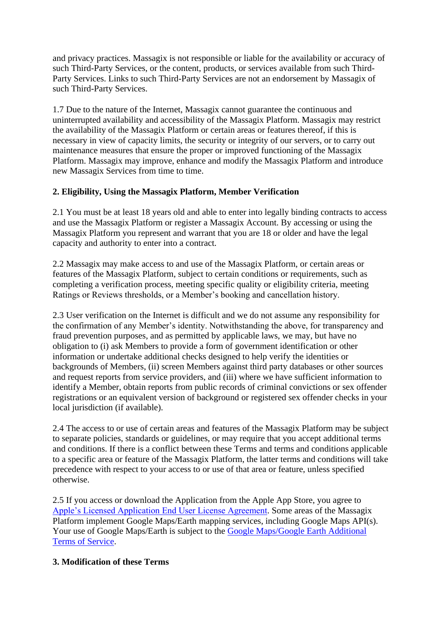and privacy practices. Massagix is not responsible or liable for the availability or accuracy of such Third-Party Services, or the content, products, or services available from such Third-Party Services. Links to such Third-Party Services are not an endorsement by Massagix of such Third-Party Services.

1.7 Due to the nature of the Internet, Massagix cannot guarantee the continuous and uninterrupted availability and accessibility of the Massagix Platform. Massagix may restrict the availability of the Massagix Platform or certain areas or features thereof, if this is necessary in view of capacity limits, the security or integrity of our servers, or to carry out maintenance measures that ensure the proper or improved functioning of the Massagix Platform. Massagix may improve, enhance and modify the Massagix Platform and introduce new Massagix Services from time to time.

# **2. Eligibility, Using the Massagix Platform, Member Verification**

2.1 You must be at least 18 years old and able to enter into legally binding contracts to access and use the Massagix Platform or register a Massagix Account. By accessing or using the Massagix Platform you represent and warrant that you are 18 or older and have the legal capacity and authority to enter into a contract.

2.2 Massagix may make access to and use of the Massagix Platform, or certain areas or features of the Massagix Platform, subject to certain conditions or requirements, such as completing a verification process, meeting specific quality or eligibility criteria, meeting Ratings or Reviews thresholds, or a Member's booking and cancellation history.

2.3 User verification on the Internet is difficult and we do not assume any responsibility for the confirmation of any Member's identity. Notwithstanding the above, for transparency and fraud prevention purposes, and as permitted by applicable laws, we may, but have no obligation to (i) ask Members to provide a form of government identification or other information or undertake additional checks designed to help verify the identities or backgrounds of Members, (ii) screen Members against third party databases or other sources and request reports from service providers, and (iii) where we have sufficient information to identify a Member, obtain reports from public records of criminal convictions or sex offender registrations or an equivalent version of background or registered sex offender checks in your local jurisdiction (if available).

2.4 The access to or use of certain areas and features of the Massagix Platform may be subject to separate policies, standards or guidelines, or may require that you accept additional terms and conditions. If there is a conflict between these Terms and terms and conditions applicable to a specific area or feature of the Massagix Platform, the latter terms and conditions will take precedence with respect to your access to or use of that area or feature, unless specified otherwise.

2.5 If you access or download the Application from the Apple App Store, you agree to [Apple's Licensed Application End User License Agreement.](http://www.apple.com/legal/internet-services/itunes/appstore/dev/stdeula/) Some areas of the Massagix Platform implement Google Maps/Earth mapping services, including Google Maps API(s). Your use of Google Maps/Earth is subject to the Google Maps/Google Earth Additional [Terms of Service.](https://www.google.com/help/terms_maps.html)

# **3. Modification of these Terms**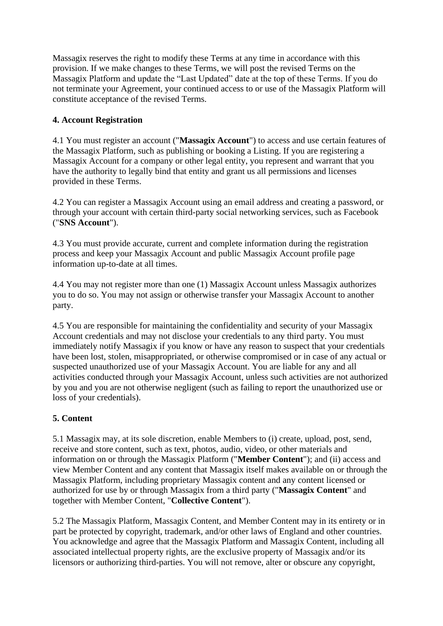Massagix reserves the right to modify these Terms at any time in accordance with this provision. If we make changes to these Terms, we will post the revised Terms on the Massagix Platform and update the "Last Updated" date at the top of these Terms. If you do not terminate your Agreement, your continued access to or use of the Massagix Platform will constitute acceptance of the revised Terms.

# **4. Account Registration**

4.1 You must register an account ("**Massagix Account**") to access and use certain features of the Massagix Platform, such as publishing or booking a Listing. If you are registering a Massagix Account for a company or other legal entity, you represent and warrant that you have the authority to legally bind that entity and grant us all permissions and licenses provided in these Terms.

4.2 You can register a Massagix Account using an email address and creating a password, or through your account with certain third-party social networking services, such as Facebook ("**SNS Account**").

4.3 You must provide accurate, current and complete information during the registration process and keep your Massagix Account and public Massagix Account profile page information up-to-date at all times.

4.4 You may not register more than one (1) Massagix Account unless Massagix authorizes you to do so. You may not assign or otherwise transfer your Massagix Account to another party.

4.5 You are responsible for maintaining the confidentiality and security of your Massagix Account credentials and may not disclose your credentials to any third party. You must immediately notify Massagix if you know or have any reason to suspect that your credentials have been lost, stolen, misappropriated, or otherwise compromised or in case of any actual or suspected unauthorized use of your Massagix Account. You are liable for any and all activities conducted through your Massagix Account, unless such activities are not authorized by you and you are not otherwise negligent (such as failing to report the unauthorized use or loss of your credentials).

# **5. Content**

5.1 Massagix may, at its sole discretion, enable Members to (i) create, upload, post, send, receive and store content, such as text, photos, audio, video, or other materials and information on or through the Massagix Platform ("**Member Content**"); and (ii) access and view Member Content and any content that Massagix itself makes available on or through the Massagix Platform, including proprietary Massagix content and any content licensed or authorized for use by or through Massagix from a third party ("**Massagix Content**" and together with Member Content, "**Collective Content**").

5.2 The Massagix Platform, Massagix Content, and Member Content may in its entirety or in part be protected by copyright, trademark, and/or other laws of England and other countries. You acknowledge and agree that the Massagix Platform and Massagix Content, including all associated intellectual property rights, are the exclusive property of Massagix and/or its licensors or authorizing third-parties. You will not remove, alter or obscure any copyright,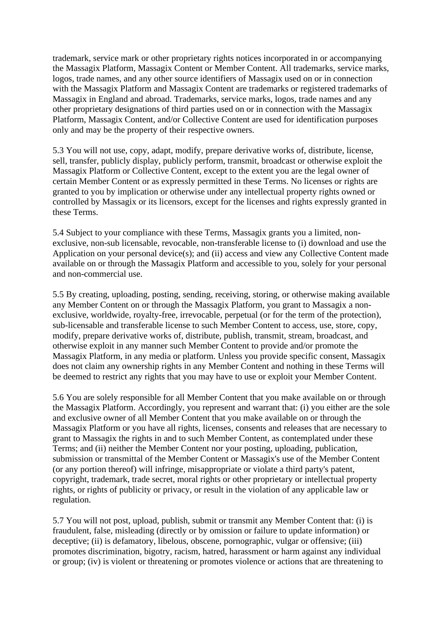trademark, service mark or other proprietary rights notices incorporated in or accompanying the Massagix Platform, Massagix Content or Member Content. All trademarks, service marks, logos, trade names, and any other source identifiers of Massagix used on or in connection with the Massagix Platform and Massagix Content are trademarks or registered trademarks of Massagix in England and abroad. Trademarks, service marks, logos, trade names and any other proprietary designations of third parties used on or in connection with the Massagix Platform, Massagix Content, and/or Collective Content are used for identification purposes only and may be the property of their respective owners.

5.3 You will not use, copy, adapt, modify, prepare derivative works of, distribute, license, sell, transfer, publicly display, publicly perform, transmit, broadcast or otherwise exploit the Massagix Platform or Collective Content, except to the extent you are the legal owner of certain Member Content or as expressly permitted in these Terms. No licenses or rights are granted to you by implication or otherwise under any intellectual property rights owned or controlled by Massagix or its licensors, except for the licenses and rights expressly granted in these Terms.

5.4 Subject to your compliance with these Terms, Massagix grants you a limited, nonexclusive, non-sub licensable, revocable, non-transferable license to (i) download and use the Application on your personal device(s); and (ii) access and view any Collective Content made available on or through the Massagix Platform and accessible to you, solely for your personal and non-commercial use.

5.5 By creating, uploading, posting, sending, receiving, storing, or otherwise making available any Member Content on or through the Massagix Platform, you grant to Massagix a nonexclusive, worldwide, royalty-free, irrevocable, perpetual (or for the term of the protection), sub-licensable and transferable license to such Member Content to access, use, store, copy, modify, prepare derivative works of, distribute, publish, transmit, stream, broadcast, and otherwise exploit in any manner such Member Content to provide and/or promote the Massagix Platform, in any media or platform. Unless you provide specific consent, Massagix does not claim any ownership rights in any Member Content and nothing in these Terms will be deemed to restrict any rights that you may have to use or exploit your Member Content.

5.6 You are solely responsible for all Member Content that you make available on or through the Massagix Platform. Accordingly, you represent and warrant that: (i) you either are the sole and exclusive owner of all Member Content that you make available on or through the Massagix Platform or you have all rights, licenses, consents and releases that are necessary to grant to Massagix the rights in and to such Member Content, as contemplated under these Terms; and (ii) neither the Member Content nor your posting, uploading, publication, submission or transmittal of the Member Content or Massagix's use of the Member Content (or any portion thereof) will infringe, misappropriate or violate a third party's patent, copyright, trademark, trade secret, moral rights or other proprietary or intellectual property rights, or rights of publicity or privacy, or result in the violation of any applicable law or regulation.

5.7 You will not post, upload, publish, submit or transmit any Member Content that: (i) is fraudulent, false, misleading (directly or by omission or failure to update information) or deceptive; (ii) is defamatory, libelous, obscene, pornographic, vulgar or offensive; (iii) promotes discrimination, bigotry, racism, hatred, harassment or harm against any individual or group; (iv) is violent or threatening or promotes violence or actions that are threatening to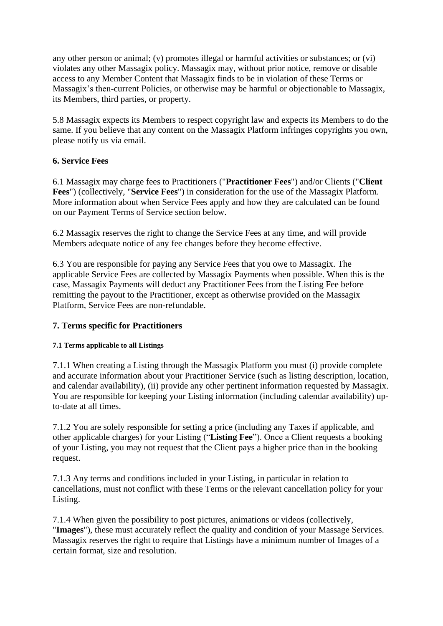any other person or animal; (v) promotes illegal or harmful activities or substances; or (vi) violates any other Massagix policy. Massagix may, without prior notice, remove or disable access to any Member Content that Massagix finds to be in violation of these Terms or Massagix's then-current Policies, or otherwise may be harmful or objectionable to Massagix, its Members, third parties, or property.

5.8 Massagix expects its Members to respect copyright law and expects its Members to do the same. If you believe that any content on the Massagix Platform infringes copyrights you own, please notify us via email.

# **6. Service Fees**

6.1 Massagix may charge fees to Practitioners ("**Practitioner Fees**") and/or Clients ("**Client Fees**") (collectively, "**Service Fees**") in consideration for the use of the Massagix Platform. More information about when Service Fees apply and how they are calculated can be found on our Payment Terms of Service section below.

6.2 Massagix reserves the right to change the Service Fees at any time, and will provide Members adequate notice of any fee changes before they become effective.

6.3 You are responsible for paying any Service Fees that you owe to Massagix. The applicable Service Fees are collected by Massagix Payments when possible. When this is the case, Massagix Payments will deduct any Practitioner Fees from the Listing Fee before remitting the payout to the Practitioner, except as otherwise provided on the Massagix Platform, Service Fees are non-refundable.

# **7. Terms specific for Practitioners**

# **7.1 Terms applicable to all Listings**

7.1.1 When creating a Listing through the Massagix Platform you must (i) provide complete and accurate information about your Practitioner Service (such as listing description, location, and calendar availability), (ii) provide any other pertinent information requested by Massagix. You are responsible for keeping your Listing information (including calendar availability) upto-date at all times.

7.1.2 You are solely responsible for setting a price (including any Taxes if applicable, and other applicable charges) for your Listing ("**Listing Fee**"). Once a Client requests a booking of your Listing, you may not request that the Client pays a higher price than in the booking request.

7.1.3 Any terms and conditions included in your Listing, in particular in relation to cancellations, must not conflict with these Terms or the relevant cancellation policy for your Listing.

7.1.4 When given the possibility to post pictures, animations or videos (collectively, "**Images**"), these must accurately reflect the quality and condition of your Massage Services. Massagix reserves the right to require that Listings have a minimum number of Images of a certain format, size and resolution.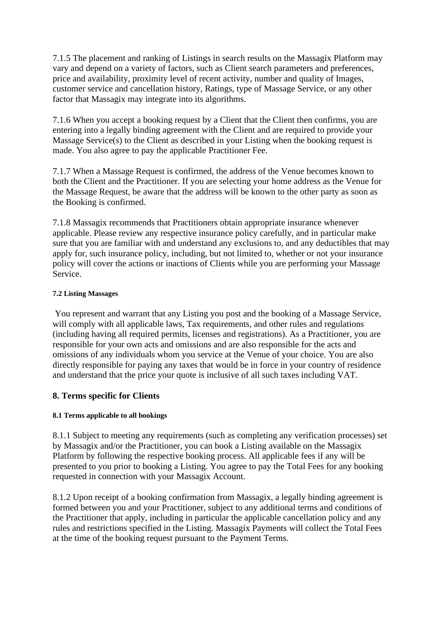7.1.5 The placement and ranking of Listings in search results on the Massagix Platform may vary and depend on a variety of factors, such as Client search parameters and preferences, price and availability, proximity level of recent activity, number and quality of Images, customer service and cancellation history, Ratings, type of Massage Service, or any other factor that Massagix may integrate into its algorithms.

7.1.6 When you accept a booking request by a Client that the Client then confirms, you are entering into a legally binding agreement with the Client and are required to provide your Massage Service(s) to the Client as described in your Listing when the booking request is made. You also agree to pay the applicable Practitioner Fee.

7.1.7 When a Massage Request is confirmed, the address of the Venue becomes known to both the Client and the Practitioner. If you are selecting your home address as the Venue for the Massage Request, be aware that the address will be known to the other party as soon as the Booking is confirmed.

7.1.8 Massagix recommends that Practitioners obtain appropriate insurance whenever applicable. Please review any respective insurance policy carefully, and in particular make sure that you are familiar with and understand any exclusions to, and any deductibles that may apply for, such insurance policy, including, but not limited to, whether or not your insurance policy will cover the actions or inactions of Clients while you are performing your Massage Service.

#### **7.2 Listing Massages**

You represent and warrant that any Listing you post and the booking of a Massage Service, will comply with all applicable laws, Tax requirements, and other rules and regulations (including having all required permits, licenses and registrations). As a Practitioner, you are responsible for your own acts and omissions and are also responsible for the acts and omissions of any individuals whom you service at the Venue of your choice. You are also directly responsible for paying any taxes that would be in force in your country of residence and understand that the price your quote is inclusive of all such taxes including VAT.

# **8. Terms specific for Clients**

# **8.1 Terms applicable to all bookings**

8.1.1 Subject to meeting any requirements (such as completing any verification processes) set by Massagix and/or the Practitioner, you can book a Listing available on the Massagix Platform by following the respective booking process. All applicable fees if any will be presented to you prior to booking a Listing. You agree to pay the Total Fees for any booking requested in connection with your Massagix Account.

8.1.2 Upon receipt of a booking confirmation from Massagix, a legally binding agreement is formed between you and your Practitioner, subject to any additional terms and conditions of the Practitioner that apply, including in particular the applicable cancellation policy and any rules and restrictions specified in the Listing. Massagix Payments will collect the Total Fees at the time of the booking request pursuant to the Payment Terms.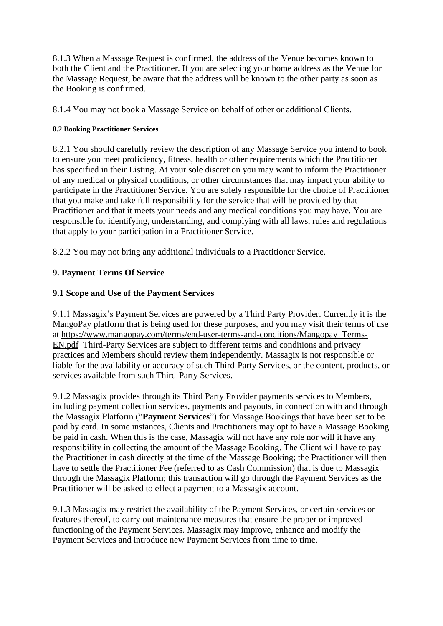8.1.3 When a Massage Request is confirmed, the address of the Venue becomes known to both the Client and the Practitioner. If you are selecting your home address as the Venue for the Massage Request, be aware that the address will be known to the other party as soon as the Booking is confirmed.

8.1.4 You may not book a Massage Service on behalf of other or additional Clients.

#### **8.2 Booking Practitioner Services**

8.2.1 You should carefully review the description of any Massage Service you intend to book to ensure you meet proficiency, fitness, health or other requirements which the Practitioner has specified in their Listing. At your sole discretion you may want to inform the Practitioner of any medical or physical conditions, or other circumstances that may impact your ability to participate in the Practitioner Service. You are solely responsible for the choice of Practitioner that you make and take full responsibility for the service that will be provided by that Practitioner and that it meets your needs and any medical conditions you may have. You are responsible for identifying, understanding, and complying with all laws, rules and regulations that apply to your participation in a Practitioner Service.

8.2.2 You may not bring any additional individuals to a Practitioner Service.

# **9. Payment Terms Of Service**

# **9.1 Scope and Use of the Payment Services**

9.1.1 Massagix's Payment Services are powered by a Third Party Provider. Currently it is the MangoPay platform that is being used for these purposes, and you may visit their terms of use at [https://www.mangopay.com/terms/end-user-terms-and-conditions/Mangopay\\_Terms-](https://www.mangopay.com/terms/end-user-terms-and-conditions/Mangopay_Terms-EN.pdf)[EN.pdf](https://www.mangopay.com/terms/end-user-terms-and-conditions/Mangopay_Terms-EN.pdf) Third-Party Services are subject to different terms and conditions and privacy practices and Members should review them independently. Massagix is not responsible or liable for the availability or accuracy of such Third-Party Services, or the content, products, or services available from such Third-Party Services.

9.1.2 Massagix provides through its Third Party Provider payments services to Members, including payment collection services, payments and payouts, in connection with and through the Massagix Platform ("**Payment Services**") for Massage Bookings that have been set to be paid by card. In some instances, Clients and Practitioners may opt to have a Massage Booking be paid in cash. When this is the case, Massagix will not have any role nor will it have any responsibility in collecting the amount of the Massage Booking. The Client will have to pay the Practitioner in cash directly at the time of the Massage Booking; the Practitioner will then have to settle the Practitioner Fee (referred to as Cash Commission) that is due to Massagix through the Massagix Platform; this transaction will go through the Payment Services as the Practitioner will be asked to effect a payment to a Massagix account.

9.1.3 Massagix may restrict the availability of the Payment Services, or certain services or features thereof, to carry out maintenance measures that ensure the proper or improved functioning of the Payment Services. Massagix may improve, enhance and modify the Payment Services and introduce new Payment Services from time to time.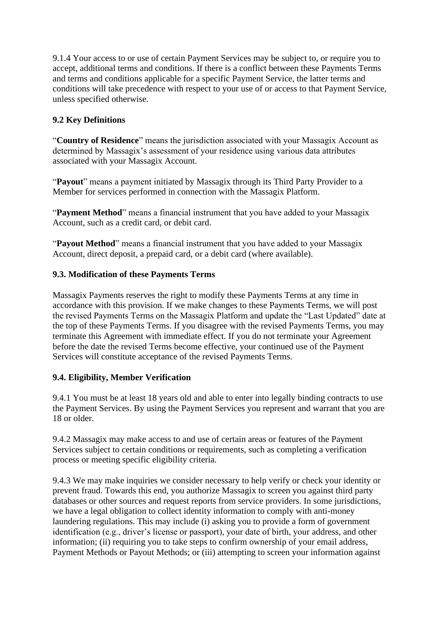9.1.4 Your access to or use of certain Payment Services may be subject to, or require you to accept, additional terms and conditions. If there is a conflict between these Payments Terms and terms and conditions applicable for a specific Payment Service, the latter terms and conditions will take precedence with respect to your use of or access to that Payment Service, unless specified otherwise.

# **9.2 Key Definitions**

"**Country of Residence**" means the jurisdiction associated with your Massagix Account as determined by Massagix's assessment of your residence using various data attributes associated with your Massagix Account.

"**Payout**" means a payment initiated by Massagix through its Third Party Provider to a Member for services performed in connection with the Massagix Platform.

"**Payment Method**" means a financial instrument that you have added to your Massagix Account, such as a credit card, or debit card.

"**Payout Method**" means a financial instrument that you have added to your Massagix Account, direct deposit, a prepaid card, or a debit card (where available).

# **9.3. Modification of these Payments Terms**

Massagix Payments reserves the right to modify these Payments Terms at any time in accordance with this provision. If we make changes to these Payments Terms, we will post the revised Payments Terms on the Massagix Platform and update the "Last Updated" date at the top of these Payments Terms. If you disagree with the revised Payments Terms, you may terminate this Agreement with immediate effect. If you do not terminate your Agreement before the date the revised Terms become effective, your continued use of the Payment Services will constitute acceptance of the revised Payments Terms.

# **9.4. Eligibility, Member Verification**

9.4.1 You must be at least 18 years old and able to enter into legally binding contracts to use the Payment Services. By using the Payment Services you represent and warrant that you are 18 or older.

9.4.2 Massagix may make access to and use of certain areas or features of the Payment Services subject to certain conditions or requirements, such as completing a verification process or meeting specific eligibility criteria.

9.4.3 We may make inquiries we consider necessary to help verify or check your identity or prevent fraud. Towards this end, you authorize Massagix to screen you against third party databases or other sources and request reports from service providers. In some jurisdictions, we have a legal obligation to collect identity information to comply with anti-money laundering regulations. This may include (i) asking you to provide a form of government identification (e.g., driver's license or passport), your date of birth, your address, and other information; (ii) requiring you to take steps to confirm ownership of your email address, Payment Methods or Payout Methods; or (iii) attempting to screen your information against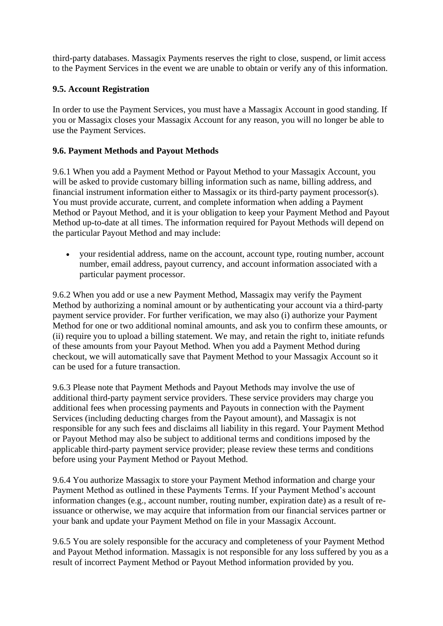third-party databases. Massagix Payments reserves the right to close, suspend, or limit access to the Payment Services in the event we are unable to obtain or verify any of this information.

# **9.5. Account Registration**

In order to use the Payment Services, you must have a Massagix Account in good standing. If you or Massagix closes your Massagix Account for any reason, you will no longer be able to use the Payment Services.

# **9.6. Payment Methods and Payout Methods**

9.6.1 When you add a Payment Method or Payout Method to your Massagix Account, you will be asked to provide customary billing information such as name, billing address, and financial instrument information either to Massagix or its third-party payment processor(s). You must provide accurate, current, and complete information when adding a Payment Method or Payout Method, and it is your obligation to keep your Payment Method and Payout Method up-to-date at all times. The information required for Payout Methods will depend on the particular Payout Method and may include:

• your residential address, name on the account, account type, routing number, account number, email address, payout currency, and account information associated with a particular payment processor.

9.6.2 When you add or use a new Payment Method, Massagix may verify the Payment Method by authorizing a nominal amount or by authenticating your account via a third-party payment service provider. For further verification, we may also (i) authorize your Payment Method for one or two additional nominal amounts, and ask you to confirm these amounts, or (ii) require you to upload a billing statement. We may, and retain the right to, initiate refunds of these amounts from your Payout Method. When you add a Payment Method during checkout, we will automatically save that Payment Method to your Massagix Account so it can be used for a future transaction.

9.6.3 Please note that Payment Methods and Payout Methods may involve the use of additional third-party payment service providers. These service providers may charge you additional fees when processing payments and Payouts in connection with the Payment Services (including deducting charges from the Payout amount), and Massagix is not responsible for any such fees and disclaims all liability in this regard. Your Payment Method or Payout Method may also be subject to additional terms and conditions imposed by the applicable third-party payment service provider; please review these terms and conditions before using your Payment Method or Payout Method.

9.6.4 You authorize Massagix to store your Payment Method information and charge your Payment Method as outlined in these Payments Terms. If your Payment Method's account information changes (e.g., account number, routing number, expiration date) as a result of reissuance or otherwise, we may acquire that information from our financial services partner or your bank and update your Payment Method on file in your Massagix Account.

9.6.5 You are solely responsible for the accuracy and completeness of your Payment Method and Payout Method information. Massagix is not responsible for any loss suffered by you as a result of incorrect Payment Method or Payout Method information provided by you.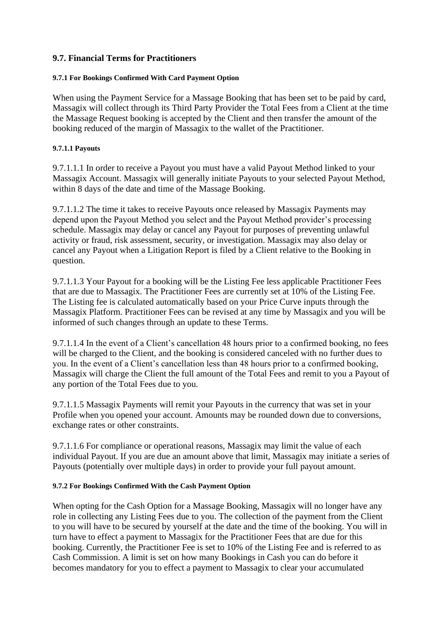# **9.7. Financial Terms for Practitioners**

#### **9.7.1 For Bookings Confirmed With Card Payment Option**

When using the Payment Service for a Massage Booking that has been set to be paid by card, Massagix will collect through its Third Party Provider the Total Fees from a Client at the time the Massage Request booking is accepted by the Client and then transfer the amount of the booking reduced of the margin of Massagix to the wallet of the Practitioner.

#### **9.7.1.1 Payouts**

9.7.1.1.1 In order to receive a Payout you must have a valid Payout Method linked to your Massagix Account. Massagix will generally initiate Payouts to your selected Payout Method, within 8 days of the date and time of the Massage Booking.

9.7.1.1.2 The time it takes to receive Payouts once released by Massagix Payments may depend upon the Payout Method you select and the Payout Method provider's processing schedule. Massagix may delay or cancel any Payout for purposes of preventing unlawful activity or fraud, risk assessment, security, or investigation. Massagix may also delay or cancel any Payout when a Litigation Report is filed by a Client relative to the Booking in question.

9.7.1.1.3 Your Payout for a booking will be the Listing Fee less applicable Practitioner Fees that are due to Massagix. The Practitioner Fees are currently set at 10% of the Listing Fee. The Listing fee is calculated automatically based on your Price Curve inputs through the Massagix Platform. Practitioner Fees can be revised at any time by Massagix and you will be informed of such changes through an update to these Terms.

9.7.1.1.4 In the event of a Client's cancellation 48 hours prior to a confirmed booking, no fees will be charged to the Client, and the booking is considered canceled with no further dues to you. In the event of a Client's cancellation less than 48 hours prior to a confirmed booking, Massagix will charge the Client the full amount of the Total Fees and remit to you a Payout of any portion of the Total Fees due to you.

9.7.1.1.5 Massagix Payments will remit your Payouts in the currency that was set in your Profile when you opened your account. Amounts may be rounded down due to conversions, exchange rates or other constraints.

9.7.1.1.6 For compliance or operational reasons, Massagix may limit the value of each individual Payout. If you are due an amount above that limit, Massagix may initiate a series of Payouts (potentially over multiple days) in order to provide your full payout amount.

#### **9.7.2 For Bookings Confirmed With the Cash Payment Option**

When opting for the Cash Option for a Massage Booking, Massagix will no longer have any role in collecting any Listing Fees due to you. The collection of the payment from the Client to you will have to be secured by yourself at the date and the time of the booking. You will in turn have to effect a payment to Massagix for the Practitioner Fees that are due for this booking. Currently, the Practitioner Fee is set to 10% of the Listing Fee and is referred to as Cash Commission. A limit is set on how many Bookings in Cash you can do before it becomes mandatory for you to effect a payment to Massagix to clear your accumulated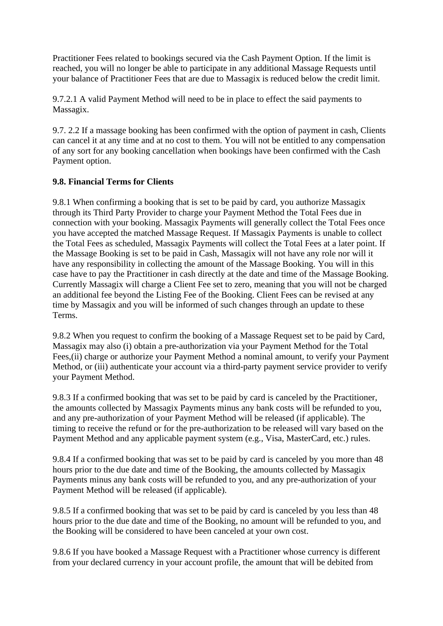Practitioner Fees related to bookings secured via the Cash Payment Option. If the limit is reached, you will no longer be able to participate in any additional Massage Requests until your balance of Practitioner Fees that are due to Massagix is reduced below the credit limit.

9.7.2.1 A valid Payment Method will need to be in place to effect the said payments to Massagix.

9.7. 2.2 If a massage booking has been confirmed with the option of payment in cash, Clients can cancel it at any time and at no cost to them. You will not be entitled to any compensation of any sort for any booking cancellation when bookings have been confirmed with the Cash Payment option.

# **9.8. Financial Terms for Clients**

9.8.1 When confirming a booking that is set to be paid by card, you authorize Massagix through its Third Party Provider to charge your Payment Method the Total Fees due in connection with your booking. Massagix Payments will generally collect the Total Fees once you have accepted the matched Massage Request. If Massagix Payments is unable to collect the Total Fees as scheduled, Massagix Payments will collect the Total Fees at a later point. If the Massage Booking is set to be paid in Cash, Massagix will not have any role nor will it have any responsibility in collecting the amount of the Massage Booking. You will in this case have to pay the Practitioner in cash directly at the date and time of the Massage Booking. Currently Massagix will charge a Client Fee set to zero, meaning that you will not be charged an additional fee beyond the Listing Fee of the Booking. Client Fees can be revised at any time by Massagix and you will be informed of such changes through an update to these Terms.

9.8.2 When you request to confirm the booking of a Massage Request set to be paid by Card, Massagix may also (i) obtain a pre-authorization via your Payment Method for the Total Fees,(ii) charge or authorize your Payment Method a nominal amount, to verify your Payment Method, or (iii) authenticate your account via a third-party payment service provider to verify your Payment Method.

9.8.3 If a confirmed booking that was set to be paid by card is canceled by the Practitioner, the amounts collected by Massagix Payments minus any bank costs will be refunded to you, and any pre-authorization of your Payment Method will be released (if applicable). The timing to receive the refund or for the pre-authorization to be released will vary based on the Payment Method and any applicable payment system (e.g., Visa, MasterCard, etc.) rules.

9.8.4 If a confirmed booking that was set to be paid by card is canceled by you more than 48 hours prior to the due date and time of the Booking, the amounts collected by Massagix Payments minus any bank costs will be refunded to you, and any pre-authorization of your Payment Method will be released (if applicable).

9.8.5 If a confirmed booking that was set to be paid by card is canceled by you less than 48 hours prior to the due date and time of the Booking, no amount will be refunded to you, and the Booking will be considered to have been canceled at your own cost.

9.8.6 If you have booked a Massage Request with a Practitioner whose currency is different from your declared currency in your account profile, the amount that will be debited from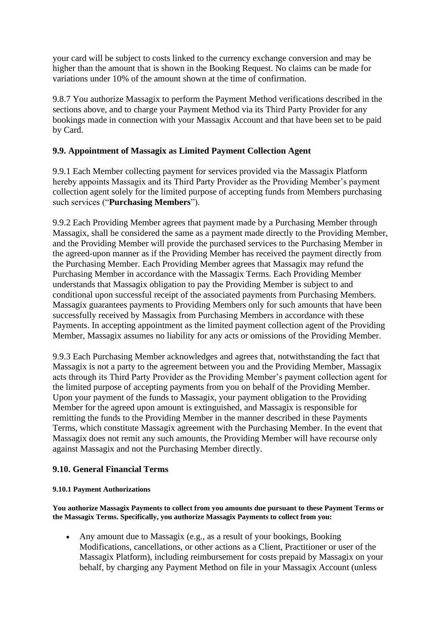your card will be subject to costs linked to the currency exchange conversion and may be higher than the amount that is shown in the Booking Request. No claims can be made for variations under 10% of the amount shown at the time of confirmation.

9.8.7 You authorize Massagix to perform the Payment Method verifications described in the sections above, and to charge your Payment Method via its Third Party Provider for any bookings made in connection with your Massagix Account and that have been set to be paid by Card.

# **9.9. Appointment of Massagix as Limited Payment Collection Agent**

9.9.1 Each Member collecting payment for services provided via the Massagix Platform hereby appoints Massagix and its Third Party Provider as the Providing Member's payment collection agent solely for the limited purpose of accepting funds from Members purchasing such services ("**Purchasing Members**").

9.9.2 Each Providing Member agrees that payment made by a Purchasing Member through Massagix, shall be considered the same as a payment made directly to the Providing Member, and the Providing Member will provide the purchased services to the Purchasing Member in the agreed-upon manner as if the Providing Member has received the payment directly from the Purchasing Member. Each Providing Member agrees that Massagix may refund the Purchasing Member in accordance with the Massagix Terms. Each Providing Member understands that Massagix obligation to pay the Providing Member is subject to and conditional upon successful receipt of the associated payments from Purchasing Members. Massagix guarantees payments to Providing Members only for such amounts that have been successfully received by Massagix from Purchasing Members in accordance with these Payments. In accepting appointment as the limited payment collection agent of the Providing Member, Massagix assumes no liability for any acts or omissions of the Providing Member.

9.9.3 Each Purchasing Member acknowledges and agrees that, notwithstanding the fact that Massagix is not a party to the agreement between you and the Providing Member, Massagix acts through its Third Party Provider as the Providing Member's payment collection agent for the limited purpose of accepting payments from you on behalf of the Providing Member. Upon your payment of the funds to Massagix, your payment obligation to the Providing Member for the agreed upon amount is extinguished, and Massagix is responsible for remitting the funds to the Providing Member in the manner described in these Payments Terms, which constitute Massagix agreement with the Purchasing Member. In the event that Massagix does not remit any such amounts, the Providing Member will have recourse only against Massagix and not the Purchasing Member directly.

# **9.10. General Financial Terms**

#### **9.10.1 Payment Authorizations**

**You authorize Massagix Payments to collect from you amounts due pursuant to these Payment Terms or the Massagix Terms. Specifically, you authorize Massagix Payments to collect from you:**

• Any amount due to Massagix (e.g., as a result of your bookings, Booking Modifications, cancellations, or other actions as a Client, Practitioner or user of the Massagix Platform), including reimbursement for costs prepaid by Massagix on your behalf, by charging any Payment Method on file in your Massagix Account (unless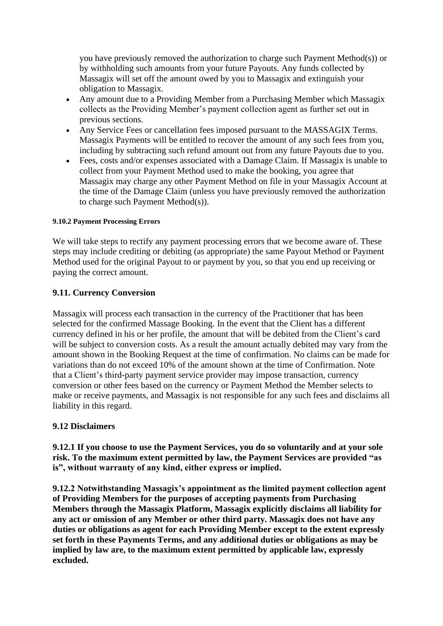you have previously removed the authorization to charge such Payment Method(s)) or by withholding such amounts from your future Payouts. Any funds collected by Massagix will set off the amount owed by you to Massagix and extinguish your obligation to Massagix.

- Any amount due to a Providing Member from a Purchasing Member which Massagix collects as the Providing Member's payment collection agent as further set out in previous sections.
- Any Service Fees or cancellation fees imposed pursuant to the MASSAGIX Terms. Massagix Payments will be entitled to recover the amount of any such fees from you, including by subtracting such refund amount out from any future Payouts due to you.
- Fees, costs and/or expenses associated with a Damage Claim. If Massagix is unable to collect from your Payment Method used to make the booking, you agree that Massagix may charge any other Payment Method on file in your Massagix Account at the time of the Damage Claim (unless you have previously removed the authorization to charge such Payment Method(s)).

#### **9.10.2 Payment Processing Errors**

We will take steps to rectify any payment processing errors that we become aware of. These steps may include crediting or debiting (as appropriate) the same Payout Method or Payment Method used for the original Payout to or payment by you, so that you end up receiving or paying the correct amount.

#### **9.11. Currency Conversion**

Massagix will process each transaction in the currency of the Practitioner that has been selected for the confirmed Massage Booking. In the event that the Client has a different currency defined in his or her profile, the amount that will be debited from the Client's card will be subject to conversion costs. As a result the amount actually debited may vary from the amount shown in the Booking Request at the time of confirmation. No claims can be made for variations than do not exceed 10% of the amount shown at the time of Confirmation. Note that a Client's third-party payment service provider may impose transaction, currency conversion or other fees based on the currency or Payment Method the Member selects to make or receive payments, and Massagix is not responsible for any such fees and disclaims all liability in this regard.

#### **9.12 Disclaimers**

**9.12.1 If you choose to use the Payment Services, you do so voluntarily and at your sole risk. To the maximum extent permitted by law, the Payment Services are provided "as is", without warranty of any kind, either express or implied.**

**9.12.2 Notwithstanding Massagix's appointment as the limited payment collection agent of Providing Members for the purposes of accepting payments from Purchasing Members through the Massagix Platform, Massagix explicitly disclaims all liability for any act or omission of any Member or other third party. Massagix does not have any duties or obligations as agent for each Providing Member except to the extent expressly set forth in these Payments Terms, and any additional duties or obligations as may be implied by law are, to the maximum extent permitted by applicable law, expressly excluded.**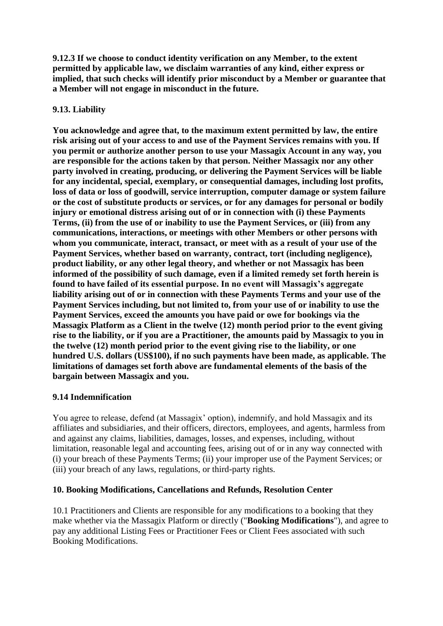**9.12.3 If we choose to conduct identity verification on any Member, to the extent permitted by applicable law, we disclaim warranties of any kind, either express or implied, that such checks will identify prior misconduct by a Member or guarantee that a Member will not engage in misconduct in the future.**

# **9.13. Liability**

**You acknowledge and agree that, to the maximum extent permitted by law, the entire risk arising out of your access to and use of the Payment Services remains with you. If you permit or authorize another person to use your Massagix Account in any way, you are responsible for the actions taken by that person. Neither Massagix nor any other party involved in creating, producing, or delivering the Payment Services will be liable for any incidental, special, exemplary, or consequential damages, including lost profits, loss of data or loss of goodwill, service interruption, computer damage or system failure or the cost of substitute products or services, or for any damages for personal or bodily injury or emotional distress arising out of or in connection with (i) these Payments Terms, (ii) from the use of or inability to use the Payment Services, or (iii) from any communications, interactions, or meetings with other Members or other persons with whom you communicate, interact, transact, or meet with as a result of your use of the Payment Services, whether based on warranty, contract, tort (including negligence), product liability, or any other legal theory, and whether or not Massagix has been informed of the possibility of such damage, even if a limited remedy set forth herein is found to have failed of its essential purpose. In no event will Massagix's aggregate liability arising out of or in connection with these Payments Terms and your use of the Payment Services including, but not limited to, from your use of or inability to use the Payment Services, exceed the amounts you have paid or owe for bookings via the Massagix Platform as a Client in the twelve (12) month period prior to the event giving rise to the liability, or if you are a Practitioner, the amounts paid by Massagix to you in the twelve (12) month period prior to the event giving rise to the liability, or one hundred U.S. dollars (US\$100), if no such payments have been made, as applicable. The limitations of damages set forth above are fundamental elements of the basis of the bargain between Massagix and you.** 

# **9.14 Indemnification**

You agree to release, defend (at Massagix' option), indemnify, and hold Massagix and its affiliates and subsidiaries, and their officers, directors, employees, and agents, harmless from and against any claims, liabilities, damages, losses, and expenses, including, without limitation, reasonable legal and accounting fees, arising out of or in any way connected with (i) your breach of these Payments Terms; (ii) your improper use of the Payment Services; or (iii) your breach of any laws, regulations, or third-party rights.

# **10. Booking Modifications, Cancellations and Refunds, Resolution Center**

10.1 Practitioners and Clients are responsible for any modifications to a booking that they make whether via the Massagix Platform or directly ("**Booking Modifications**"), and agree to pay any additional Listing Fees or Practitioner Fees or Client Fees associated with such Booking Modifications.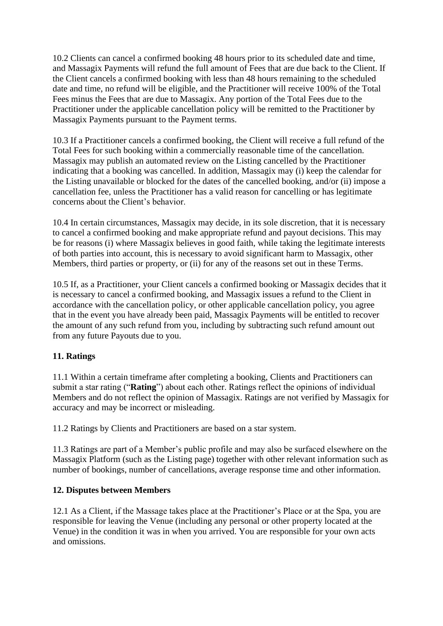10.2 Clients can cancel a confirmed booking 48 hours prior to its scheduled date and time, and Massagix Payments will refund the full amount of Fees that are due back to the Client. If the Client cancels a confirmed booking with less than 48 hours remaining to the scheduled date and time, no refund will be eligible, and the Practitioner will receive 100% of the Total Fees minus the Fees that are due to Massagix. Any portion of the Total Fees due to the Practitioner under the applicable cancellation policy will be remitted to the Practitioner by Massagix Payments pursuant to the Payment terms.

10.3 If a Practitioner cancels a confirmed booking, the Client will receive a full refund of the Total Fees for such booking within a commercially reasonable time of the cancellation. Massagix may publish an automated review on the Listing cancelled by the Practitioner indicating that a booking was cancelled. In addition, Massagix may (i) keep the calendar for the Listing unavailable or blocked for the dates of the cancelled booking, and/or (ii) impose a cancellation fee, unless the Practitioner has a valid reason for cancelling or has legitimate concerns about the Client's behavior.

10.4 In certain circumstances, Massagix may decide, in its sole discretion, that it is necessary to cancel a confirmed booking and make appropriate refund and payout decisions. This may be for reasons (i) where Massagix believes in good faith, while taking the legitimate interests of both parties into account, this is necessary to avoid significant harm to Massagix, other Members, third parties or property, or (ii) for any of the reasons set out in these Terms.

10.5 If, as a Practitioner, your Client cancels a confirmed booking or Massagix decides that it is necessary to cancel a confirmed booking, and Massagix issues a refund to the Client in accordance with the cancellation policy, or other applicable cancellation policy, you agree that in the event you have already been paid, Massagix Payments will be entitled to recover the amount of any such refund from you, including by subtracting such refund amount out from any future Payouts due to you.

# **11. Ratings**

11.1 Within a certain timeframe after completing a booking, Clients and Practitioners can submit a star rating ("**Rating**") about each other. Ratings reflect the opinions of individual Members and do not reflect the opinion of Massagix. Ratings are not verified by Massagix for accuracy and may be incorrect or misleading.

11.2 Ratings by Clients and Practitioners are based on a star system.

11.3 Ratings are part of a Member's public profile and may also be surfaced elsewhere on the Massagix Platform (such as the Listing page) together with other relevant information such as number of bookings, number of cancellations, average response time and other information.

# **12. Disputes between Members**

12.1 As a Client, if the Massage takes place at the Practitioner's Place or at the Spa, you are responsible for leaving the Venue (including any personal or other property located at the Venue) in the condition it was in when you arrived. You are responsible for your own acts and omissions.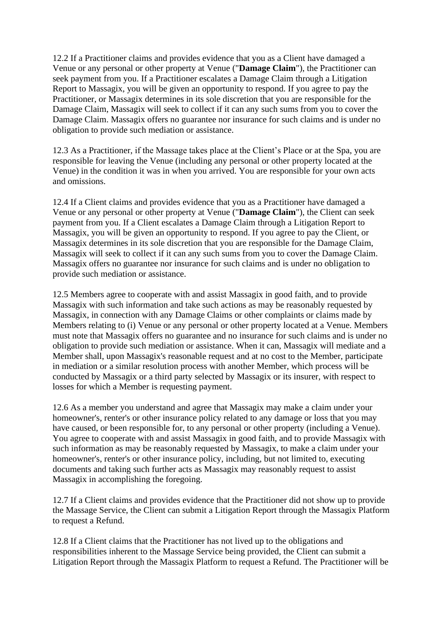12.2 If a Practitioner claims and provides evidence that you as a Client have damaged a Venue or any personal or other property at Venue ("**Damage Claim**"), the Practitioner can seek payment from you. If a Practitioner escalates a Damage Claim through a Litigation Report to Massagix, you will be given an opportunity to respond. If you agree to pay the Practitioner, or Massagix determines in its sole discretion that you are responsible for the Damage Claim, Massagix will seek to collect if it can any such sums from you to cover the Damage Claim. Massagix offers no guarantee nor insurance for such claims and is under no obligation to provide such mediation or assistance.

12.3 As a Practitioner, if the Massage takes place at the Client's Place or at the Spa, you are responsible for leaving the Venue (including any personal or other property located at the Venue) in the condition it was in when you arrived. You are responsible for your own acts and omissions.

12.4 If a Client claims and provides evidence that you as a Practitioner have damaged a Venue or any personal or other property at Venue ("**Damage Claim**"), the Client can seek payment from you. If a Client escalates a Damage Claim through a Litigation Report to Massagix, you will be given an opportunity to respond. If you agree to pay the Client, or Massagix determines in its sole discretion that you are responsible for the Damage Claim, Massagix will seek to collect if it can any such sums from you to cover the Damage Claim. Massagix offers no guarantee nor insurance for such claims and is under no obligation to provide such mediation or assistance.

12.5 Members agree to cooperate with and assist Massagix in good faith, and to provide Massagix with such information and take such actions as may be reasonably requested by Massagix, in connection with any Damage Claims or other complaints or claims made by Members relating to (i) Venue or any personal or other property located at a Venue. Members must note that Massagix offers no guarantee and no insurance for such claims and is under no obligation to provide such mediation or assistance. When it can, Massagix will mediate and a Member shall, upon Massagix's reasonable request and at no cost to the Member, participate in mediation or a similar resolution process with another Member, which process will be conducted by Massagix or a third party selected by Massagix or its insurer, with respect to losses for which a Member is requesting payment.

12.6 As a member you understand and agree that Massagix may make a claim under your homeowner's, renter's or other insurance policy related to any damage or loss that you may have caused, or been responsible for, to any personal or other property (including a Venue). You agree to cooperate with and assist Massagix in good faith, and to provide Massagix with such information as may be reasonably requested by Massagix, to make a claim under your homeowner's, renter's or other insurance policy, including, but not limited to, executing documents and taking such further acts as Massagix may reasonably request to assist Massagix in accomplishing the foregoing.

12.7 If a Client claims and provides evidence that the Practitioner did not show up to provide the Massage Service, the Client can submit a Litigation Report through the Massagix Platform to request a Refund.

12.8 If a Client claims that the Practitioner has not lived up to the obligations and responsibilities inherent to the Massage Service being provided, the Client can submit a Litigation Report through the Massagix Platform to request a Refund. The Practitioner will be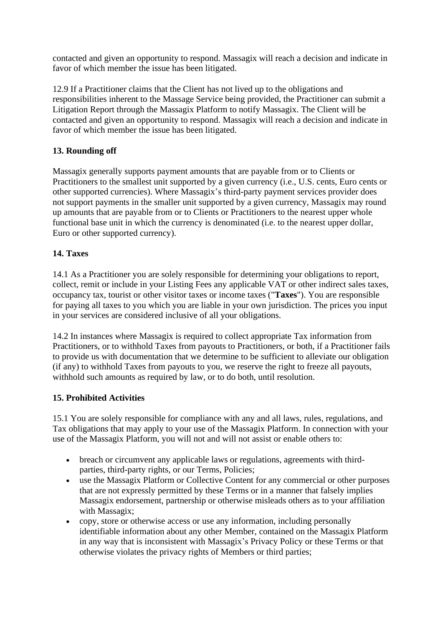contacted and given an opportunity to respond. Massagix will reach a decision and indicate in favor of which member the issue has been litigated.

12.9 If a Practitioner claims that the Client has not lived up to the obligations and responsibilities inherent to the Massage Service being provided, the Practitioner can submit a Litigation Report through the Massagix Platform to notify Massagix. The Client will be contacted and given an opportunity to respond. Massagix will reach a decision and indicate in favor of which member the issue has been litigated.

# **13. Rounding off**

Massagix generally supports payment amounts that are payable from or to Clients or Practitioners to the smallest unit supported by a given currency (i.e., U.S. cents, Euro cents or other supported currencies). Where Massagix's third-party payment services provider does not support payments in the smaller unit supported by a given currency, Massagix may round up amounts that are payable from or to Clients or Practitioners to the nearest upper whole functional base unit in which the currency is denominated (i.e. to the nearest upper dollar, Euro or other supported currency).

# **14. Taxes**

14.1 As a Practitioner you are solely responsible for determining your obligations to report, collect, remit or include in your Listing Fees any applicable VAT or other indirect sales taxes, occupancy tax, tourist or other visitor taxes or income taxes ("**Taxes**"). You are responsible for paying all taxes to you which you are liable in your own jurisdiction. The prices you input in your services are considered inclusive of all your obligations.

14.2 In instances where Massagix is required to collect appropriate Tax information from Practitioners, or to withhold Taxes from payouts to Practitioners, or both, if a Practitioner fails to provide us with documentation that we determine to be sufficient to alleviate our obligation (if any) to withhold Taxes from payouts to you, we reserve the right to freeze all payouts, withhold such amounts as required by law, or to do both, until resolution.

# **15. Prohibited Activities**

15.1 You are solely responsible for compliance with any and all laws, rules, regulations, and Tax obligations that may apply to your use of the Massagix Platform. In connection with your use of the Massagix Platform, you will not and will not assist or enable others to:

- breach or circumvent any applicable laws or regulations, agreements with thirdparties, third-party rights, or our Terms, Policies;
- use the Massagix Platform or Collective Content for any commercial or other purposes that are not expressly permitted by these Terms or in a manner that falsely implies Massagix endorsement, partnership or otherwise misleads others as to your affiliation with Massagix;
- copy, store or otherwise access or use any information, including personally identifiable information about any other Member, contained on the Massagix Platform in any way that is inconsistent with Massagix's Privacy Policy or these Terms or that otherwise violates the privacy rights of Members or third parties;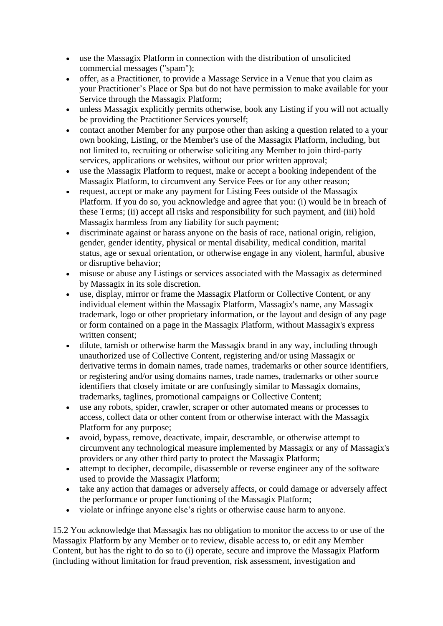- use the Massagix Platform in connection with the distribution of unsolicited commercial messages ("spam");
- offer, as a Practitioner, to provide a Massage Service in a Venue that you claim as your Practitioner's Place or Spa but do not have permission to make available for your Service through the Massagix Platform;
- unless Massagix explicitly permits otherwise, book any Listing if you will not actually be providing the Practitioner Services yourself;
- contact another Member for any purpose other than asking a question related to a your own booking, Listing, or the Member's use of the Massagix Platform, including, but not limited to, recruiting or otherwise soliciting any Member to join third-party services, applications or websites, without our prior written approval;
- use the Massagix Platform to request, make or accept a booking independent of the Massagix Platform, to circumvent any Service Fees or for any other reason;
- request, accept or make any payment for Listing Fees outside of the Massagix Platform. If you do so, you acknowledge and agree that you: (i) would be in breach of these Terms; (ii) accept all risks and responsibility for such payment, and (iii) hold Massagix harmless from any liability for such payment;
- discriminate against or harass anyone on the basis of race, national origin, religion, gender, gender identity, physical or mental disability, medical condition, marital status, age or sexual orientation, or otherwise engage in any violent, harmful, abusive or disruptive behavior;
- misuse or abuse any Listings or services associated with the Massagix as determined by Massagix in its sole discretion.
- use, display, mirror or frame the Massagix Platform or Collective Content, or any individual element within the Massagix Platform, Massagix's name, any Massagix trademark, logo or other proprietary information, or the layout and design of any page or form contained on a page in the Massagix Platform, without Massagix's express written consent;
- dilute, tarnish or otherwise harm the Massagix brand in any way, including through unauthorized use of Collective Content, registering and/or using Massagix or derivative terms in domain names, trade names, trademarks or other source identifiers, or registering and/or using domains names, trade names, trademarks or other source identifiers that closely imitate or are confusingly similar to Massagix domains, trademarks, taglines, promotional campaigns or Collective Content;
- use any robots, spider, crawler, scraper or other automated means or processes to access, collect data or other content from or otherwise interact with the Massagix Platform for any purpose;
- avoid, bypass, remove, deactivate, impair, descramble, or otherwise attempt to circumvent any technological measure implemented by Massagix or any of Massagix's providers or any other third party to protect the Massagix Platform;
- attempt to decipher, decompile, disassemble or reverse engineer any of the software used to provide the Massagix Platform;
- take any action that damages or adversely affects, or could damage or adversely affect the performance or proper functioning of the Massagix Platform;
- violate or infringe anyone else's rights or otherwise cause harm to anyone.

15.2 You acknowledge that Massagix has no obligation to monitor the access to or use of the Massagix Platform by any Member or to review, disable access to, or edit any Member Content, but has the right to do so to (i) operate, secure and improve the Massagix Platform (including without limitation for fraud prevention, risk assessment, investigation and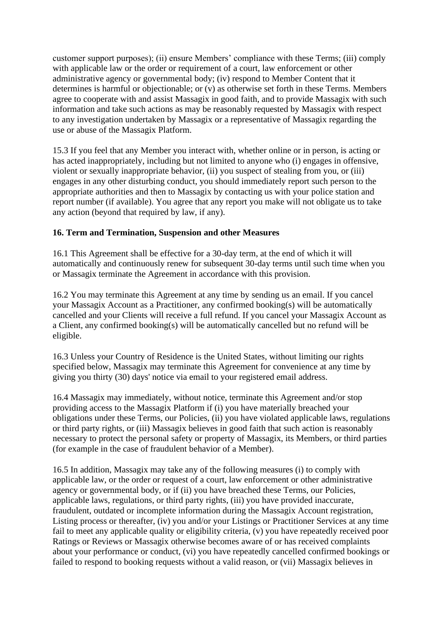customer support purposes); (ii) ensure Members' compliance with these Terms; (iii) comply with applicable law or the order or requirement of a court, law enforcement or other administrative agency or governmental body; (iv) respond to Member Content that it determines is harmful or objectionable; or (v) as otherwise set forth in these Terms. Members agree to cooperate with and assist Massagix in good faith, and to provide Massagix with such information and take such actions as may be reasonably requested by Massagix with respect to any investigation undertaken by Massagix or a representative of Massagix regarding the use or abuse of the Massagix Platform.

15.3 If you feel that any Member you interact with, whether online or in person, is acting or has acted inappropriately, including but not limited to anyone who (i) engages in offensive, violent or sexually inappropriate behavior, (ii) you suspect of stealing from you, or (iii) engages in any other disturbing conduct, you should immediately report such person to the appropriate authorities and then to Massagix by contacting us with your police station and report number (if available). You agree that any report you make will not obligate us to take any action (beyond that required by law, if any).

# **16. Term and Termination, Suspension and other Measures**

16.1 This Agreement shall be effective for a 30-day term, at the end of which it will automatically and continuously renew for subsequent 30-day terms until such time when you or Massagix terminate the Agreement in accordance with this provision.

16.2 You may terminate this Agreement at any time by sending us an email. If you cancel your Massagix Account as a Practitioner, any confirmed booking(s) will be automatically cancelled and your Clients will receive a full refund. If you cancel your Massagix Account as a Client, any confirmed booking(s) will be automatically cancelled but no refund will be eligible.

16.3 Unless your Country of Residence is the United States, without limiting our rights specified below, Massagix may terminate this Agreement for convenience at any time by giving you thirty (30) days' notice via email to your registered email address.

16.4 Massagix may immediately, without notice, terminate this Agreement and/or stop providing access to the Massagix Platform if (i) you have materially breached your obligations under these Terms, our Policies, (ii) you have violated applicable laws, regulations or third party rights, or (iii) Massagix believes in good faith that such action is reasonably necessary to protect the personal safety or property of Massagix, its Members, or third parties (for example in the case of fraudulent behavior of a Member).

16.5 In addition, Massagix may take any of the following measures (i) to comply with applicable law, or the order or request of a court, law enforcement or other administrative agency or governmental body, or if (ii) you have breached these Terms, our Policies, applicable laws, regulations, or third party rights, (iii) you have provided inaccurate, fraudulent, outdated or incomplete information during the Massagix Account registration, Listing process or thereafter, (iv) you and/or your Listings or Practitioner Services at any time fail to meet any applicable quality or eligibility criteria, (v) you have repeatedly received poor Ratings or Reviews or Massagix otherwise becomes aware of or has received complaints about your performance or conduct, (vi) you have repeatedly cancelled confirmed bookings or failed to respond to booking requests without a valid reason, or (vii) Massagix believes in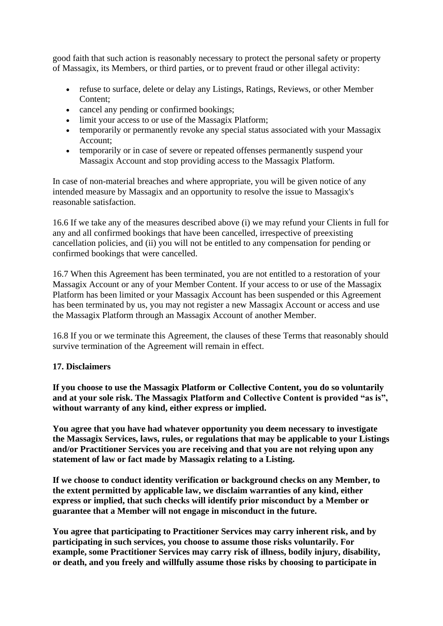good faith that such action is reasonably necessary to protect the personal safety or property of Massagix, its Members, or third parties, or to prevent fraud or other illegal activity:

- refuse to surface, delete or delay any Listings, Ratings, Reviews, or other Member Content;
- cancel any pending or confirmed bookings;
- limit your access to or use of the Massagix Platform;
- temporarily or permanently revoke any special status associated with your Massagix Account;
- temporarily or in case of severe or repeated offenses permanently suspend your Massagix Account and stop providing access to the Massagix Platform.

In case of non-material breaches and where appropriate, you will be given notice of any intended measure by Massagix and an opportunity to resolve the issue to Massagix's reasonable satisfaction.

16.6 If we take any of the measures described above (i) we may refund your Clients in full for any and all confirmed bookings that have been cancelled, irrespective of preexisting cancellation policies, and (ii) you will not be entitled to any compensation for pending or confirmed bookings that were cancelled.

16.7 When this Agreement has been terminated, you are not entitled to a restoration of your Massagix Account or any of your Member Content. If your access to or use of the Massagix Platform has been limited or your Massagix Account has been suspended or this Agreement has been terminated by us, you may not register a new Massagix Account or access and use the Massagix Platform through an Massagix Account of another Member.

16.8 If you or we terminate this Agreement, the clauses of these Terms that reasonably should survive termination of the Agreement will remain in effect.

# **17. Disclaimers**

**If you choose to use the Massagix Platform or Collective Content, you do so voluntarily and at your sole risk. The Massagix Platform and Collective Content is provided "as is", without warranty of any kind, either express or implied.**

**You agree that you have had whatever opportunity you deem necessary to investigate the Massagix Services, laws, rules, or regulations that may be applicable to your Listings and/or Practitioner Services you are receiving and that you are not relying upon any statement of law or fact made by Massagix relating to a Listing.**

**If we choose to conduct identity verification or background checks on any Member, to the extent permitted by applicable law, we disclaim warranties of any kind, either express or implied, that such checks will identify prior misconduct by a Member or guarantee that a Member will not engage in misconduct in the future.**

**You agree that participating to Practitioner Services may carry inherent risk, and by participating in such services, you choose to assume those risks voluntarily. For example, some Practitioner Services may carry risk of illness, bodily injury, disability, or death, and you freely and willfully assume those risks by choosing to participate in**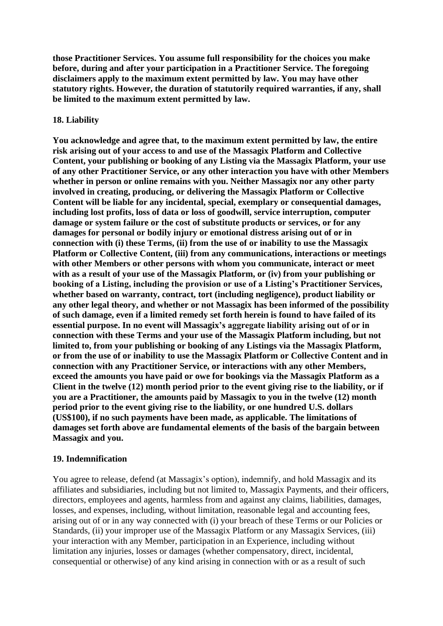**those Practitioner Services. You assume full responsibility for the choices you make before, during and after your participation in a Practitioner Service. The foregoing disclaimers apply to the maximum extent permitted by law. You may have other statutory rights. However, the duration of statutorily required warranties, if any, shall be limited to the maximum extent permitted by law.**

#### **18. Liability**

**You acknowledge and agree that, to the maximum extent permitted by law, the entire risk arising out of your access to and use of the Massagix Platform and Collective Content, your publishing or booking of any Listing via the Massagix Platform, your use of any other Practitioner Service, or any other interaction you have with other Members whether in person or online remains with you. Neither Massagix nor any other party involved in creating, producing, or delivering the Massagix Platform or Collective Content will be liable for any incidental, special, exemplary or consequential damages, including lost profits, loss of data or loss of goodwill, service interruption, computer damage or system failure or the cost of substitute products or services, or for any damages for personal or bodily injury or emotional distress arising out of or in connection with (i) these Terms, (ii) from the use of or inability to use the Massagix Platform or Collective Content, (iii) from any communications, interactions or meetings with other Members or other persons with whom you communicate, interact or meet with as a result of your use of the Massagix Platform, or (iv) from your publishing or booking of a Listing, including the provision or use of a Listing's Practitioner Services, whether based on warranty, contract, tort (including negligence), product liability or any other legal theory, and whether or not Massagix has been informed of the possibility of such damage, even if a limited remedy set forth herein is found to have failed of its essential purpose. In no event will Massagix's aggregate liability arising out of or in connection with these Terms and your use of the Massagix Platform including, but not limited to, from your publishing or booking of any Listings via the Massagix Platform, or from the use of or inability to use the Massagix Platform or Collective Content and in connection with any Practitioner Service, or interactions with any other Members, exceed the amounts you have paid or owe for bookings via the Massagix Platform as a Client in the twelve (12) month period prior to the event giving rise to the liability, or if you are a Practitioner, the amounts paid by Massagix to you in the twelve (12) month period prior to the event giving rise to the liability, or one hundred U.S. dollars (US\$100), if no such payments have been made, as applicable. The limitations of damages set forth above are fundamental elements of the basis of the bargain between Massagix and you.** 

#### **19. Indemnification**

You agree to release, defend (at Massagix's option), indemnify, and hold Massagix and its affiliates and subsidiaries, including but not limited to, Massagix Payments, and their officers, directors, employees and agents, harmless from and against any claims, liabilities, damages, losses, and expenses, including, without limitation, reasonable legal and accounting fees, arising out of or in any way connected with (i) your breach of these Terms or our Policies or Standards, (ii) your improper use of the Massagix Platform or any Massagix Services, (iii) your interaction with any Member, participation in an Experience, including without limitation any injuries, losses or damages (whether compensatory, direct, incidental, consequential or otherwise) of any kind arising in connection with or as a result of such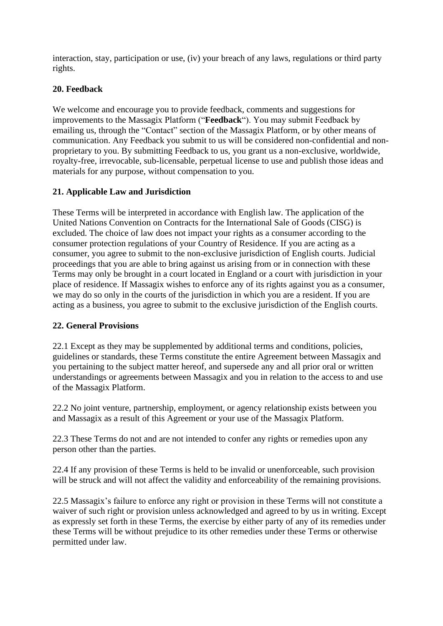interaction, stay, participation or use, (iv) your breach of any laws, regulations or third party rights.

# **20. Feedback**

We welcome and encourage you to provide feedback, comments and suggestions for improvements to the Massagix Platform ("**Feedback**"). You may submit Feedback by emailing us, through the "Contact" section of the Massagix Platform, or by other means of communication. Any Feedback you submit to us will be considered non-confidential and nonproprietary to you. By submitting Feedback to us, you grant us a non-exclusive, worldwide, royalty-free, irrevocable, sub-licensable, perpetual license to use and publish those ideas and materials for any purpose, without compensation to you.

# **21. Applicable Law and Jurisdiction**

These Terms will be interpreted in accordance with English law. The application of the United Nations Convention on Contracts for the International Sale of Goods (CISG) is excluded. The choice of law does not impact your rights as a consumer according to the consumer protection regulations of your Country of Residence. If you are acting as a consumer, you agree to submit to the non-exclusive jurisdiction of English courts. Judicial proceedings that you are able to bring against us arising from or in connection with these Terms may only be brought in a court located in England or a court with jurisdiction in your place of residence. If Massagix wishes to enforce any of its rights against you as a consumer, we may do so only in the courts of the jurisdiction in which you are a resident. If you are acting as a business, you agree to submit to the exclusive jurisdiction of the English courts.

# **22. General Provisions**

22.1 Except as they may be supplemented by additional terms and conditions, policies, guidelines or standards, these Terms constitute the entire Agreement between Massagix and you pertaining to the subject matter hereof, and supersede any and all prior oral or written understandings or agreements between Massagix and you in relation to the access to and use of the Massagix Platform.

22.2 No joint venture, partnership, employment, or agency relationship exists between you and Massagix as a result of this Agreement or your use of the Massagix Platform.

22.3 These Terms do not and are not intended to confer any rights or remedies upon any person other than the parties.

22.4 If any provision of these Terms is held to be invalid or unenforceable, such provision will be struck and will not affect the validity and enforceability of the remaining provisions.

22.5 Massagix's failure to enforce any right or provision in these Terms will not constitute a waiver of such right or provision unless acknowledged and agreed to by us in writing. Except as expressly set forth in these Terms, the exercise by either party of any of its remedies under these Terms will be without prejudice to its other remedies under these Terms or otherwise permitted under law.